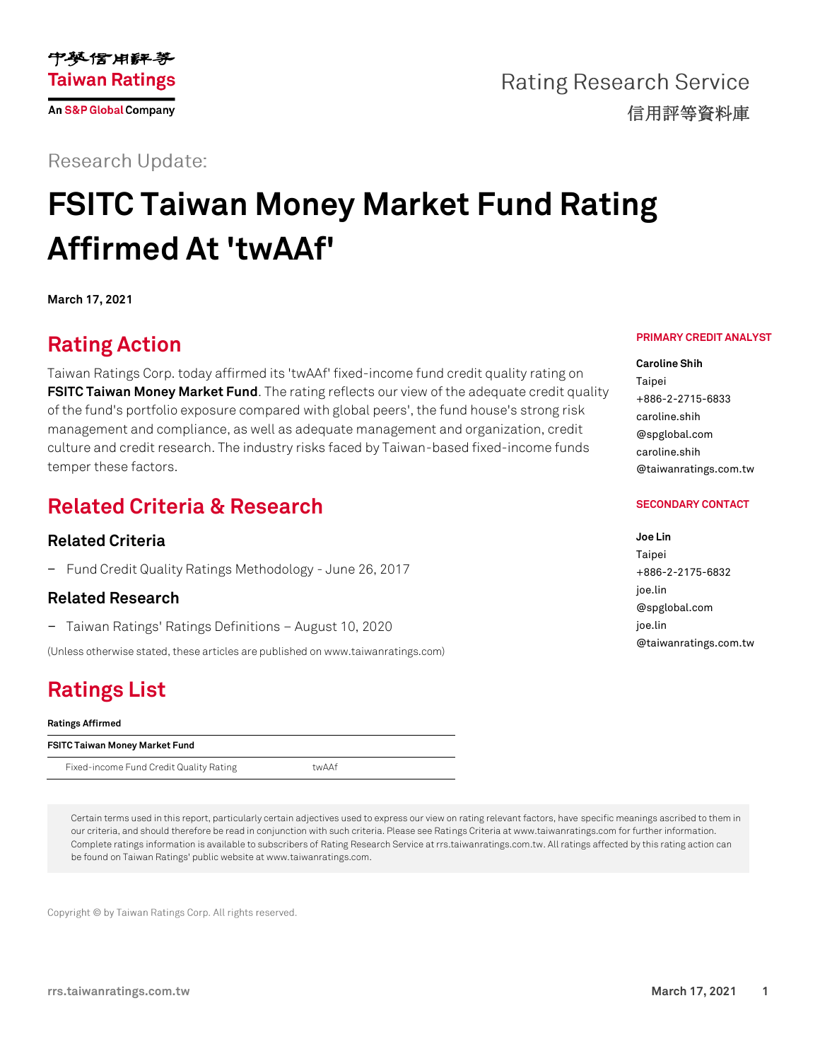

**Rating Research Service** 信用評等資料庫

**Research Update:** 

# **FSITC Taiwan Money Market Fund Rating Affirmed At 'twAAf'**

**March 17, 2021**

### **Rating Action**

Taiwan Ratings Corp. today affirmed its 'twAAf' fixed-income fund credit quality rating on **FSITC Taiwan [Money Market Fund](https://rrs.taiwanratings.com.tw/portal/member/viewFund/536)**. The rating reflects our view of the adequate credit quality of the fund's portfolio exposure compared with global peers', the fund house's strong risk management and compliance, as well as adequate management and organization, credit culture and credit research. The industry risks faced by Taiwan-based fixed-income funds temper these factors.

### **Related Criteria & Research**

### **Related Criteria**

− Fund Credit Quality Ratings Methodology - June 26, 2017

### **Related Research**

− Taiwan Ratings' Ratings Definitions – August 10, 2020

(Unless otherwise stated, these articles are published on www.taiwanratings.com)

## **Ratings List**

#### **Ratings Affirmed**

| FSITC Taiwan Money Market Fund          |       |  |
|-----------------------------------------|-------|--|
| Fixed-income Fund Credit Quality Rating | twAAf |  |

Certain terms used in this report, particularly certain adjectives used to express our view on rating relevant factors, have specific meanings ascribed to them in our criteria, and should therefore be read in conjunction with such criteria. Please see Ratings Criteria at www.taiwanratings.com for further information. Complete ratings information is available to subscribers of Rating Research Service at rrs.taiwanratings.com.tw. All ratings affected by this rating action can be found on Taiwan Ratings' public website at www.taiwanratings.com.

Copyright © by Taiwan Ratings Corp. All rights reserved.

### **PRIMARY CREDIT ANALYST**

**Caroline Shih** Taipei +886-2-2715-6833 caroline.shih @spglobal.com caroline.shih @taiwanratings.com.tw

#### **SECONDARY CONTACT**

### **Joe Lin** Taipei +886-2-2175-6832 joe.lin @spglobal.com joe.lin @taiwanratings.com.tw